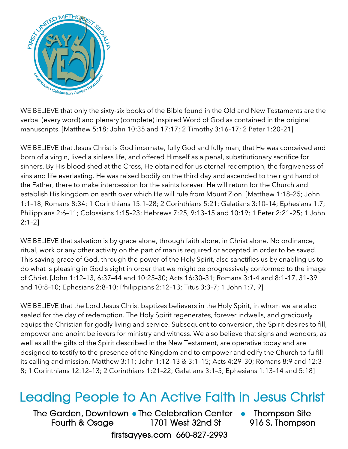

WE BELIEVE that only the sixty-six books of the Bible found in the Old and New Testaments are the verbal (every word) and plenary (complete) inspired Word of God as contained in the original manuscripts. [Matthew 5:18; John 10:35 and 17:17; 2 Timothy 3:16–17; 2 Peter 1:20–21]

WE BELIEVE that Jesus Christ is God incarnate, fully God and fully man, that He was conceived and born of a virgin, lived a sinless life, and offered Himself as a penal, substitutionary sacrifice for sinners. By His blood shed at the Cross, He obtained for us eternal redemption, the forgiveness of sins and life everlasting. He was raised bodily on the third day and ascended to the right hand of the Father, there to make intercession for the saints forever. He will return for the Church and establish His kingdom on earth over which He will rule from Mount Zion. [Matthew 1:18–25; John 1:1–18; Romans 8:34; 1 Corinthians 15:1–28; 2 Corinthians 5:21; Galatians 3:10–14; Ephesians 1:7; Philippians 2:6–11; Colossians 1:15–23; Hebrews 7:25, 9:13–15 and 10:19; 1 Peter 2:21–25; 1 John 2:1–2]

WE BELIEVE that salvation is by grace alone, through faith alone, in Christ alone. No ordinance, ritual, work or any other activity on the part of man is required or accepted in order to be saved. This saving grace of God, through the power of the Holy Spirit, also sanctifies us by enabling us to do what is pleasing in God's sight in order that we might be progressively conformed to the image of Christ. [John 1:12–13, 6:37–44 and 10:25–30; Acts 16:30–31; Romans 3:1-4 and 8:1–17, 31–39 and 10:8–10; Ephesians 2:8–10; Philippians 2:12–13; Titus 3:3–7; 1 John 1:7, 9]

WE BELIEVE that the Lord Jesus Christ baptizes believers in the Holy Spirit, in whom we are also sealed for the day of redemption. The Holy Spirit regenerates, forever indwells, and graciously equips the Christian for godly living and service. Subsequent to conversion, the Spirit desires to fill, empower and anoint believers for ministry and witness. We also believe that signs and wonders, as well as all the gifts of the Spirit described in the New Testament, are operative today and are designed to testify to the presence of the Kingdom and to empower and edify the Church to fulfill its calling and mission. Matthew 3:11; John 1:12–13 & 3:1–15; Acts 4:29–30; Romans 8:9 and 12:3– 8; 1 Corinthians 12:12–13; 2 Corinthians 1:21–22; Galatians 3:1–5; Ephesians 1:13–14 and 5:18]

## Leading People to An Active Faith in Jesus Christ

The Garden, Downtown • The Celebration Center Fourth & Osage 1701 West 32nd St firstsayyes.com 660-827-2993

• Thompson Site 916 S. Thompson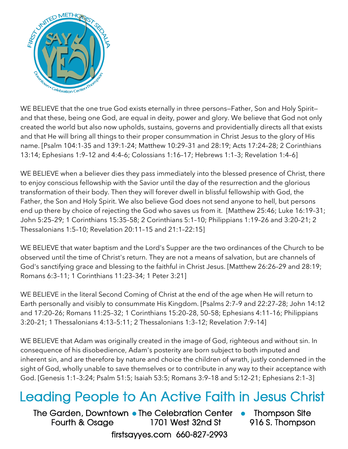

WE BELIEVE that the one true God exists eternally in three persons—Father, Son and Holy Spirit and that these, being one God, are equal in deity, power and glory. We believe that God not only created the world but also now upholds, sustains, governs and providentially directs all that exists and that He will bring all things to their proper consummation in Christ Jesus to the glory of His name. [Psalm 104:1-35 and 139:1-24; Matthew 10:29–31 and 28:19; Acts 17:24–28; 2 Corinthians 13:14; Ephesians 1:9–12 and 4:4–6; Colossians 1:16–17; Hebrews 1:1–3; Revelation 1:4–6]

WE BELIEVE when a believer dies they pass immediately into the blessed presence of Christ, there to enjoy conscious fellowship with the Savior until the day of the resurrection and the glorious transformation of their body. Then they will forever dwell in blissful fellowship with God, the Father, the Son and Holy Spirit. We also believe God does not send anyone to hell, but persons end up there by choice of rejecting the God who saves us from it. [Matthew 25:46; Luke 16:19–31; John 5:25–29; 1 Corinthians 15:35–58; 2 Corinthians 5:1–10; Philippians 1:19–26 and 3:20–21; 2 Thessalonians 1:5–10; Revelation 20:11–15 and 21:1–22:15]

WE BELIEVE that water baptism and the Lord's Supper are the two ordinances of the Church to be observed until the time of Christ's return. They are not a means of salvation, but are channels of God's sanctifying grace and blessing to the faithful in Christ Jesus. [Matthew 26:26–29 and 28:19; Romans 6:3–11; 1 Corinthians 11:23–34; 1 Peter 3:21]

WE BELIEVE in the literal Second Coming of Christ at the end of the age when He will return to Earth personally and visibly to consummate His Kingdom. [Psalms 2:7–9 and 22:27–28; John 14:12 and 17:20–26; Romans 11:25–32; 1 Corinthians 15:20–28, 50–58; Ephesians 4:11–16; Philippians 3:20–21; 1 Thessalonians 4:13–5:11; 2 Thessalonians 1:3–12; Revelation 7:9–14]

WE BELIEVE that Adam was originally created in the image of God, righteous and without sin. In consequence of his disobedience, Adam's posterity are born subject to both imputed and inherent sin, and are therefore by nature and choice the children of wrath, justly condemned in the sight of God, wholly unable to save themselves or to contribute in any way to their acceptance with God. [Genesis 1:1–3:24; Psalm 51:5; Isaiah 53:5; Romans 3:9–18 and 5:12–21; Ephesians 2:1–3]

## Leading People to An Active Faith in Jesus Christ

The Garden, Downtown • The Celebration Center Fourth & Osage 1701 West 32nd St firstsayyes.com 660-827-2993

• Thompson Site 916 S. Thompson